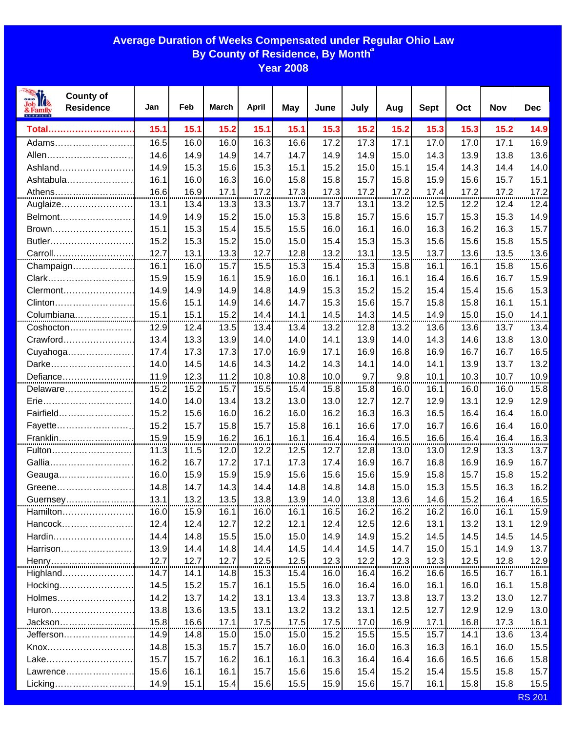## **Average Duration of Weeks Compensated under Regular Ohio Law By County of Residence, By Month a**

**Year 2008**

| <b>County of</b><br><b>Residence</b><br>& Family | Jan          | Feb          | <b>March</b> | <b>April</b> | <b>May</b>   | June         | July         | Aug          | <b>Sept</b>  | Oct          | Nov          | <b>Dec</b>    |
|--------------------------------------------------|--------------|--------------|--------------|--------------|--------------|--------------|--------------|--------------|--------------|--------------|--------------|---------------|
| Total                                            | 15.1         | 15.1         | 15.2         | 15.1         | 15.1         | 15.3         | 15.2         | 15.2         | 15.3         | 15.3         | 15.2         | 14.9          |
| Adams                                            | 16.5         | 16.0         | 16.0         | 16.3         | 16.6         | 17.2         | 17.3         | 17.1         | 17.0         | 17.0         | 17.1         | 16.9          |
| Allen                                            | 14.6         | 14.9         | 14.9         | 14.7         | 14.7         | 14.9         | 14.9         | 15.0         | 14.3         | 13.9         | 13.8         | 13.6          |
| Ashland                                          | 14.9         | 15.3         | 15.6         | 15.3         | 15.1         | 15.2         | 15.0         | 15.1         | 15.4         | 14.3         | 14.4         | 14.0          |
| Ashtabula                                        | 16.1         | 16.0         | 16.3         | 16.0         | 15.8         | 15.8         | 15.7         | 15.8         | 15.9         | 15.6         | 15.7         | 15.1          |
| Athens                                           | 16.6         | 16.9         | 17.1         | 17.2         | 17.3         | 17.3         | 17.2         | 17.2         | 17.4         | 17.2         | 17.2         | 17.2<br>      |
| Auglaize                                         | 13.1         | 13.4         | 13.3         | 13.3         | 13.7         | 13.7         | 13.1         | 13.2         | 12.5         | 12.2         | 12.4         | 12.4          |
| Belmont                                          | 14.9         | 14.9         | 15.2         | 15.0         | 15.3         | 15.8         | 15.7         | 15.6         | 15.7         | 15.3         | 15.3         | 14.9          |
| Brown                                            | 15.1         | 15.3         | 15.4         | 15.5         | 15.5         | 16.0         | 16.1         | 16.0         | 16.3         | 16.2         | 16.3         | 15.7          |
| Butler                                           | 15.2         | 15.3         | 15.2         | 15.0         | 15.0         | 15.4         | 15.3         | 15.3         | 15.6         | 15.6         | 15.8         | 15.5          |
|                                                  | 12.7         | 13.1         | 13.3         | 12.7         | 12.8         | 13.2         | 13.1         | 13.5         | 13.7         | 13.6         | 13.5         | 13.6          |
| Champaign                                        | 16.1         | 16.0         | 15.7         | 15.5         | 15.3         | 15.4         | 15.3         | 15.8         | 16.1         | 16.1         | 15.8         | 15.6          |
| Clark                                            | 15.9         | 15.9         | 16.1         | 15.9         | 16.0         | 16.1         | 16.1         | 16.1         | 16.4         | 16.6         | 16.7         | 15.9          |
| Clermont                                         | 14.9         | 14.9         | 14.9         | 14.8         | 14.9         | 15.3         | 15.2         | 15.2         | 15.4         | 15.4         | 15.6         | 15.3          |
| Clinton                                          | 15.6         | 15.1         | 14.9         | 14.6         | 14.7         | 15.3         | 15.6         | 15.7         | 15.8         | 15.8         | 16.1         | 15.1          |
|                                                  | 15.1         | 15.1         | 15.2         | 14.4         | 14.1         | 14.5         | 14.3         | 14.5         | 14.9         | 15.0         | 15.0         | 14.1          |
| Coshocton                                        | 12.9         | 12.4         | 13.5         | 13.4         | 13.4         | 13.2         | 12.8         | 13.2         | 13.6         | 13.6         | 13.7         | 13.4          |
| Crawford                                         | 13.4         | 13.3         | 13.9         | 14.0         | 14.0         | 14.1         | 13.9         | 14.0         | 14.3         | 14.6         | 13.8         | 13.0          |
| Cuyahoga                                         | 17.4         | 17.3         | 17.3         | 17.0         | 16.9         | 17.1         | 16.9         | 16.8         | 16.9         | 16.7         | 16.7         | 16.5          |
| Darke                                            | 14.0         | 14.5         | 14.6         | 14.3         | 14.2         | 14.3         | 14.1         | 14.0         | 14.1         | 13.9         | 13.7         | 13.2          |
| Defiance                                         | 11.9         | 12.3         | 11.2         | 10.8         | 10.8         | 10.0         | 9.7          | 9.8          | 10.1         | 10.3         | 10.7         | 10.9          |
| Delaware                                         | 15.2         | 15.2         | 15.7         | 15.5         | 15.4         | 15.8         | 15.8         | 16.0         | 16.1         | 16.0         | 16.0         | 15.8          |
| Erie                                             | 14.0         | 14.0         | 13.4         | 13.2         | 13.0         | 13.0         | 12.7         | 12.7         | 12.9         | 13.1         | 12.9         | 12.9          |
| Fairfield                                        | 15.2         | 15.6         | 16.0         | 16.2         | 16.0         | 16.2         | 16.3         | 16.3         | 16.5         | 16.4         | 16.4         | 16.0          |
| Fayette                                          | 15.2         | 15.7         | 15.8         | 15.7         | 15.8         | 16.1         | 16.6         | 17.0         | 16.7         | 16.6         | 16.4         | 16.0          |
| Franklin                                         | 15.9         | 15.9         | 16.2         | 16.1         | 16.1         | 16.4         | 16.4         | 16.5         | 16.6         | 16.4         | 16.4         | 16.3          |
| Fulton                                           | 11.3         | 11.5         | 12.0         | 12.2         | 12.5         | 12.7         | 12.8         | 13.0         | 13.0         | 12.9         | 13.3         | 13.7          |
| Gallia                                           | 16.2         | 16.7         | 17.2         | 17.1         | 17.3         | 17.4         | 16.9         | 16.7         | 16.8         | 16.9         | 16.9         | 16.7          |
| Geauga                                           | 16.0         | 15.9         | 15.9         | 15.9         | 15.6         | 15.6         | 15.6         | 15.9         | 15.8         | 15.7         | 15.8         | 15.2          |
| Greene                                           | 14.8         | 14.7         | 14.3         | 14.4         | 14.8         | 14.8         | 14.8         | 15.0         | 15.3         | 15.5         | 16.3         | 16.2          |
|                                                  |              |              |              | 13.8         | 13.9         | 14.0         |              |              |              |              |              |               |
| Hamilton                                         | 16.0         | 15.9         | 16.1         | 16.0         | 16.1         | 16.5         | 16.2         | 16.2         | 16.2         | 16.0         | 16.1         | 15.9          |
| Hancock                                          | 12.4         | 12.4         | 12.7         | 12.2         | 12.1         | 12.4         | 12.5         | 12.6         | 13.1         | 13.2         | 13.1         | 12.9          |
| Hardin                                           | 14.4         | 14.8         | 15.5         | 15.0         | 15.0         | 14.9         | 14.9         | 15.2         | 14.5         | 14.5         | 14.5         | 14.5          |
| Harrison                                         | 13.9         | 14.4         | 14.8         | 14.4         | 14.5         | 14.4         | 14.5         | 14.7         | 15.0         | 15.1         | 14.9         | 13.7          |
| <u>Henry</u>                                     | 12.7         | 12.7         | 12.7         | 12.5         | 12.5         | 12.3         | 12.2         | 12.3         | 12.3         | 12.5         | 12.8         | 12.9          |
| Highland                                         | 14.7         | 14.1         | 14.8         | 15.3         | 15.4         | 16.0         | 16.4         | 16.2         | 16.6         | 16.5         | 16.7         | 16.1          |
| Hocking<br>Holmes                                | 14.5         | 15.2         | 15.7         | 16.1         | 15.5         | 16.0         | 16.4         | 16.0         | 16.1         | 16.0         | 16.1         | 15.8          |
|                                                  | 14.2         | 13.7         | 14.2         | 13.1         | 13.4         | 13.3         | 13.7         | 13.8         | 13.7         | 13.2         | 13.0         | 12.7          |
| Huron                                            | 13.8<br>15.8 | 13.6<br>16.6 | 13.5<br>17.1 | 13.1<br>17.5 | 13.2<br>17.5 | 13.2<br>17.5 | 13.1<br>17.0 | 12.5<br>16.9 | 12.7<br>17.1 | 12.9<br>16.8 | 12.9<br>17.3 | 13.0<br>16.1  |
| Jackson <mark>.</mark>                           |              |              |              |              |              |              |              |              |              |              |              |               |
| Jefferson………………….<br>Knox                        | 14.9<br>14.8 | 14.8<br>15.3 | 15.0<br>15.7 | 15.0<br>15.7 | 15.0<br>16.0 | 15.2<br>16.0 | 15.5<br>16.0 | 15.5<br>16.3 | 15.7<br>16.3 | 14.1<br>16.1 | 13.6<br>16.0 | 13.4<br>15.5  |
| Lake                                             | 15.7         |              | 16.2         | 16.1         |              |              |              |              |              | 16.5         | 16.6         | 15.8          |
| Lawrence                                         | 15.6         | 15.7<br>16.1 | 16.1         | 15.7         | 16.1<br>15.6 | 16.3<br>15.6 | 16.4<br>15.4 | 16.4<br>15.2 | 16.6<br>15.4 | 15.5         | 15.8         | 15.7          |
| Licking                                          | 14.9         | 15.1         | 15.4         | 15.6         | 15.5         | 15.9         | 15.6         | 15.7         | 16.1         | 15.8         | 15.8         | 15.5          |
|                                                  |              |              |              |              |              |              |              |              |              |              |              | <b>RS 201</b> |